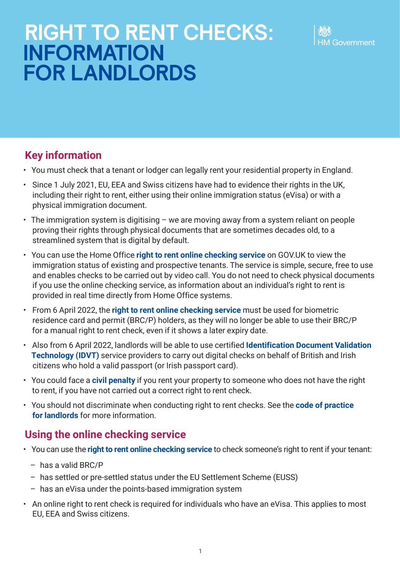

# **Key information**

- You must check that a tenant or lodger can legally rent your residential property in England.
- Since 1 July 2021, EU, EEA and Swiss citizens have had to evidence their rights in the UK, including their right to rent, either using their online immigration status (eVisa) or with a physical immigration document.
- The immigration system is digitising we are moving away from a system reliant on people proving their rights through physical documents that are sometimes decades old, to a streamlined system that is digital by default.
- You can use the Home Office **[right to rent online checking service](https://www.gov.uk/view-right-to-rent)** on GOV.UK to view the immigration status of existing and prospective tenants. The service is simple, secure, free to use and enables checks to be carried out by video call. You do not need to check physical documents if you use the online checking service, as information about an individual's right to rent is provided in real time directly from Home Office systems.
- From 6 April 2022, the **[right to rent online checking service](https://www.gov.uk/view-right-to-rent)** must be used for biometric residence card and permit (BRC/P) holders, as they will no longer be able to use their BRC/P for a manual right to rent check, even if it shows a later expiry date.
- Also from 6 April 2022, landlords will be able to use certified **[Identification Document Validation](https://www.gov.uk/government/publications/digital-identity-document-validation-technology-idvt)  [Technology \(IDVT\)](https://www.gov.uk/government/publications/digital-identity-document-validation-technology-idvt)** service providers to carry out digital checks on behalf of British and Irish citizens who hold a valid passport (or Irish passport card).
- You could face a **[civil penalty](https://www.gov.uk/penalties-illegal-renting)** if you rent your property to someone who does not have the right to rent, if you have not carried out a correct right to rent check.
- You should not discriminate when conducting right to rent checks. See the **[code of practice](https://www.gov.uk/government/publications/right-to-rent-landlords-code-of-practice)  [for landlords](https://www.gov.uk/government/publications/right-to-rent-landlords-code-of-practice)** for more information.

# **Using the online checking service**

- You can use the **[right to rent online checking service](https://www.gov.uk/view-right-to-rent)** to check someone's right to rent if your tenant:
	- has a valid BRC/P
	- has settled or pre-settled status under the EU Settlement Scheme (EUSS)
	- has an eVisa under the points-based immigration system
- An online right to rent check is required for individuals who have an eVisa. This applies to most EU, EEA and Swiss citizens.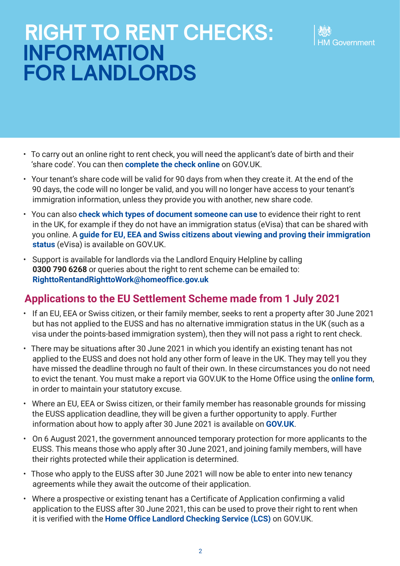- To carry out an online right to rent check, you will need the applicant's date of birth and their 'share code'. You can then **[complete the check online](https://www.gov.uk/view-right-to-rent)** on GOV.UK.
- Your tenant's share code will be valid for 90 days from when they create it. At the end of the 90 days, the code will no longer be valid, and you will no longer have access to your tenant's immigration information, unless they provide you with another, new share code.
- You can also **[check which types of document someone can use](https://www.gov.uk/landlord-immigration-check)** to evidence their right to rent in the UK, for example if they do not have an immigration status (eVisa) that can be shared with you online. A **[guide for EU, EEA and Swiss citizens about viewing and proving their immigration](http://www.gov.uk/government/publications/view-and-prove-your-immigration-status-evisa)  [status](http://www.gov.uk/government/publications/view-and-prove-your-immigration-status-evisa)** (eVisa) is available on GOV.UK.
- Support is available for landlords via the Landlord Enquiry Helpline by calling **0300 790 6268** or queries about the right to rent scheme can be emailed to: **[RighttoRentandRighttoWork@homeoffice.gov.uk](mailto:RighttoRentandRighttoWork%40homeoffice.gov.uk?subject=)**

# **Applications to the EU Settlement Scheme made from 1 July 2021**

- If an EU, EEA or Swiss citizen, or their family member, seeks to rent a property after 30 June 2021 but has not applied to the EUSS and has no alternative immigration status in the UK (such as a visa under the points-based immigration system), then they will not pass a right to rent check.
- There may be situations after 30 June 2021 in which you identify an existing tenant has not applied to the EUSS and does not hold any other form of leave in the UK. They may tell you they have missed the deadline through no fault of their own. In these circumstances you do not need to evict the tenant. You must make a report via GOV.UK to the Home Office using the **[online form](https://eforms.homeoffice.gov.uk/outreach/lcs-reporting.ofml)**, in order to maintain your statutory excuse.
- Where an EU, EEA or Swiss citizen, or their family member has reasonable grounds for missing the EUSS application deadline, they will be given a further opportunity to apply. Further information about how to apply after 30 June 2021 is available on **[GOV.UK](https://www.gov.uk/settled-status-eu-citizens-families/applying-for-settled-status)**.
- On 6 August 2021, the government announced temporary protection for more applicants to the EUSS. This means those who apply after 30 June 2021, and joining family members, will have their rights protected while their application is determined.
- Those who apply to the EUSS after 30 June 2021 will now be able to enter into new tenancy agreements while they await the outcome of their application.
- Where a prospective or existing tenant has a Certificate of Application confirming a valid application to the EUSS after 30 June 2021, this can be used to prove their right to rent when it is verified with the **[Home Office Landlord Checking Service \(LCS\)](https://eforms.homeoffice.gov.uk/outreach/lcs-application.ofml)** on GOV.UK.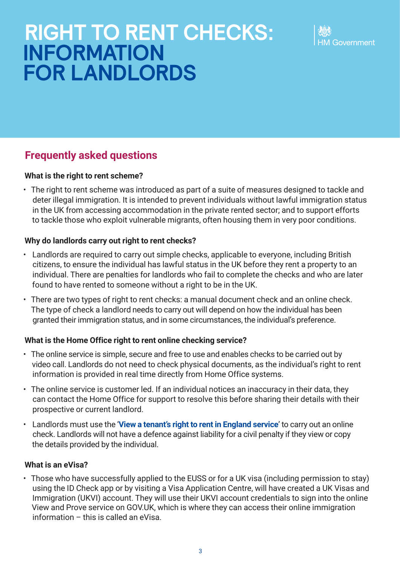

# **Frequently asked questions**

## **What is the right to rent scheme?**

• The right to rent scheme was introduced as part of a suite of measures designed to tackle and deter illegal immigration. It is intended to prevent individuals without lawful immigration status in the UK from accessing accommodation in the private rented sector; and to support efforts to tackle those who exploit vulnerable migrants, often housing them in very poor conditions.

### **Why do landlords carry out right to rent checks?**

- Landlords are required to carry out simple checks, applicable to everyone, including British citizens, to ensure the individual has lawful status in the UK before they rent a property to an individual. There are penalties for landlords who fail to complete the checks and who are later found to have rented to someone without a right to be in the UK.
- There are two types of right to rent checks: a manual document check and an online check. The type of check a landlord needs to carry out will depend on how the individual has been granted their immigration status, and in some circumstances, the individual's preference.

#### **What is the Home Office right to rent online checking service?**

- The online service is simple, secure and free to use and enables checks to be carried out by video call. Landlords do not need to check physical documents, as the individual's right to rent information is provided in real time directly from Home Office systems.
- The online service is customer led. If an individual notices an inaccuracy in their data, they can contact the Home Office for support to resolve this before sharing their details with their prospective or current landlord.
- Landlords must use the '**[View a tenant's right to rent in England service](https://www.gov.uk/view-right-to-rent)**' to carry out an online check. Landlords will not have a defence against liability for a civil penalty if they view or copy the details provided by the individual.

#### **What is an eVisa?**

• Those who have successfully applied to the EUSS or for a UK visa (including permission to stay) using the ID Check app or by visiting a Visa Application Centre, will have created a UK Visas and Immigration (UKVI) account. They will use their UKVI account credentials to sign into the online View and Prove service on GOV.UK, which is where they can access their online immigration information – this is called an eVisa.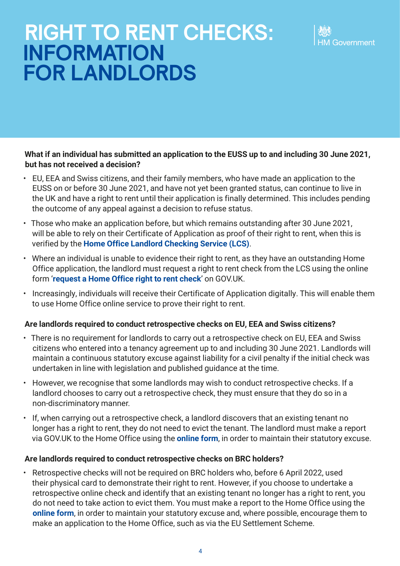### **What if an individual has submitted an application to the EUSS up to and including 30 June 2021, but has not received a decision?**

- EU, EEA and Swiss citizens, and their family members, who have made an application to the EUSS on or before 30 June 2021, and have not yet been granted status, can continue to live in the UK and have a right to rent until their application is finally determined. This includes pending the outcome of any appeal against a decision to refuse status.
- Those who make an application before, but which remains outstanding after 30 June 2021, will be able to rely on their Certificate of Application as proof of their right to rent, when this is verified by the **[Home Office Landlord Checking Service \(LCS\)](https://eforms.homeoffice.gov.uk/outreach/lcs-application.ofml)**.
- Where an individual is unable to evidence their right to rent, as they have an outstanding Home Office application, the landlord must request a right to rent check from the LCS using the online form '**[request a Home Office right to rent check](https://eforms.homeoffice.gov.uk/outreach/lcs-application.ofml)**' on GOV.UK.
- Increasingly, individuals will receive their Certificate of Application digitally. This will enable them to use Home Office online service to prove their right to rent.

## **Are landlords required to conduct retrospective checks on EU, EEA and Swiss citizens?**

- There is no requirement for landlords to carry out a retrospective check on EU, EEA and Swiss citizens who entered into a tenancy agreement up to and including 30 June 2021. Landlords will maintain a continuous statutory excuse against liability for a civil penalty if the initial check was undertaken in line with legislation and published guidance at the time.
- However, we recognise that some landlords may wish to conduct retrospective checks. If a landlord chooses to carry out a retrospective check, they must ensure that they do so in a non‑discriminatory manner.
- If, when carrying out a retrospective check, a landlord discovers that an existing tenant no longer has a right to rent, they do not need to evict the tenant. The landlord must make a report via GOV.UK to the Home Office using the **[online form](https://eforms.homeoffice.gov.uk/outreach/lcs-reporting.ofml)**, in order to maintain their statutory excuse.

## **Are landlords required to conduct retrospective checks on BRC holders?**

• Retrospective checks will not be required on BRC holders who, before 6 April 2022, used their physical card to demonstrate their right to rent. However, if you choose to undertake a retrospective online check and identify that an existing tenant no longer has a right to rent, you do not need to take action to evict them. You must make a report to the Home Office using the **[online form](https://eforms.homeoffice.gov.uk/outreach/lcs-reporting.ofml)**, in order to maintain your statutory excuse and, where possible, encourage them to make an application to the Home Office, such as via the EU Settlement Scheme.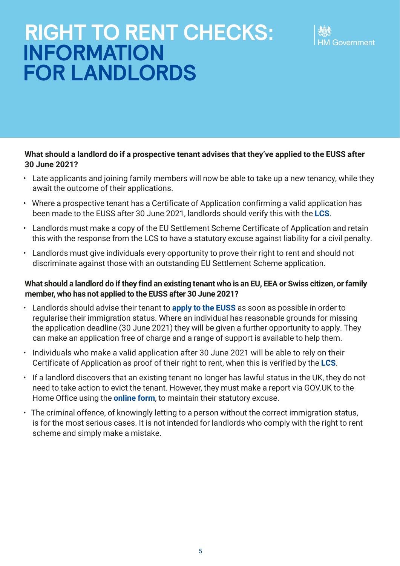### **What should a landlord do if a prospective tenant advises that they've applied to the EUSS after 30 June 2021?**

- Late applicants and joining family members will now be able to take up a new tenancy, while they await the outcome of their applications.
- Where a prospective tenant has a Certificate of Application confirming a valid application has been made to the EUSS after 30 June 2021, landlords should verify this with the **[LCS](https://eforms.homeoffice.gov.uk/outreach/lcs-application.ofml)**.
- Landlords must make a copy of the EU Settlement Scheme Certificate of Application and retain this with the response from the LCS to have a statutory excuse against liability for a civil penalty.
- Landlords must give individuals every opportunity to prove their right to rent and should not discriminate against those with an outstanding EU Settlement Scheme application.

### **What should a landlord do if they find an existing tenant who is an EU, EEA or Swiss citizen, or family member, who has not applied to the EUSS after 30 June 2021?**

- Landlords should advise their tenant to **[apply to the EUSS](https://www.gov.uk/settled-status-eu-citizens-families/applying-for-settled-status)** as soon as possible in order to regularise their immigration status. Where an individual has reasonable grounds for missing the application deadline (30 June 2021) they will be given a further opportunity to apply. They can make an application free of charge and a range of support is available to help them.
- Individuals who make a valid application after 30 June 2021 will be able to rely on their Certificate of Application as proof of their right to rent, when this is verified by the **[LCS](https://eforms.homeoffice.gov.uk/outreach/lcs-application.ofml)**.
- If a landlord discovers that an existing tenant no longer has lawful status in the UK, they do not need to take action to evict the tenant. However, they must make a report via GOV.UK to the Home Office using the **[online form](https://eforms.homeoffice.gov.uk/outreach/lcs-reporting.ofml)**, to maintain their statutory excuse.
- The criminal offence, of knowingly letting to a person without the correct immigration status, is for the most serious cases. It is not intended for landlords who comply with the right to rent scheme and simply make a mistake.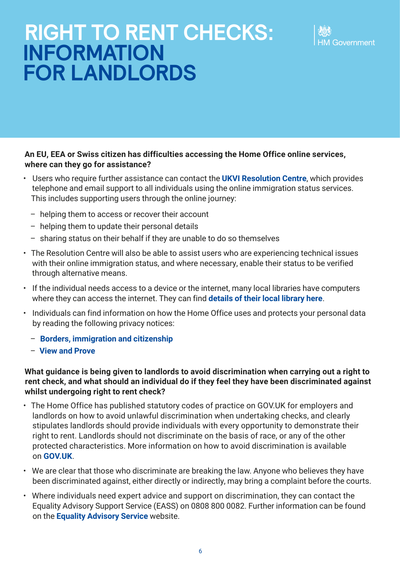### **An EU, EEA or Swiss citizen has difficulties accessing the Home Office online services, where can they go for assistance?**

- Users who require further assistance can contact the **[UKVI Resolution Centre](https://www.gov.uk/contact-ukvi-inside-outside-uk/y)**, which provides telephone and email support to all individuals using the online immigration status services. This includes supporting users through the online journey:
	- helping them to access or recover their account
	- helping them to update their personal details
	- sharing status on their behalf if they are unable to do so themselves
- The Resolution Centre will also be able to assist users who are experiencing technical issues with their online immigration status, and where necessary, enable their status to be verified through alternative means.
- If the individual needs access to a device or the internet, many local libraries have computers where they can access the internet. They can find **[details of their local library here](https://www.gov.uk/local-library-services)**.
- Individuals can find information on how the Home Office uses and protects your personal data by reading the following privacy notices:
	- **[Borders, immigration and citizenship](https://www.gov.uk/government/publications/personal-information-use-in-borders-immigration-and-citizenship)**
	- **[View and Prove](https://view-immigration-status.service.gov.uk/privacy)**

#### **What guidance is being given to landlords to avoid discrimination when carrying out a right to rent check, and what should an individual do if they feel they have been discriminated against whilst undergoing right to rent check?**

- The Home Office has published statutory codes of practice on GOV.UK for employers and landlords on how to avoid unlawful discrimination when undertaking checks, and clearly stipulates landlords should provide individuals with every opportunity to demonstrate their right to rent. Landlords should not discriminate on the basis of race, or any of the other protected characteristics. More information on how to avoid discrimination is available on **[GOV.UK](https://www.gov.uk/government/publications/right-to-rent-landlords-code-of-practice)**.
- We are clear that those who discriminate are breaking the law. Anyone who believes they have been discriminated against, either directly or indirectly, may bring a complaint before the courts.
- Where individuals need expert advice and support on discrimination, they can contact the Equality Advisory Support Service (EASS) on 0808 800 0082. Further information can be found on the **[Equality Advisory Service](https://www.equalityadvisoryservice.com/)** website.